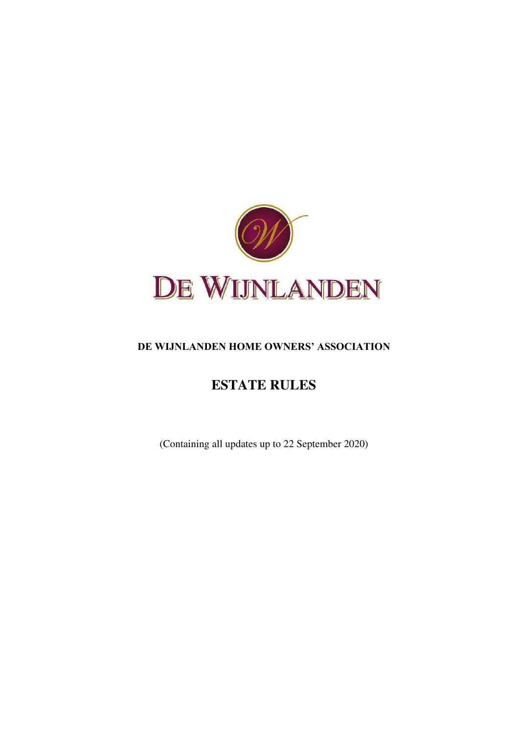

# **DE WIJNLANDEN HOME OWNERS' ASSOCIATION**

# **ESTATE RULES**

(Containing all updates up to 22 September 2020)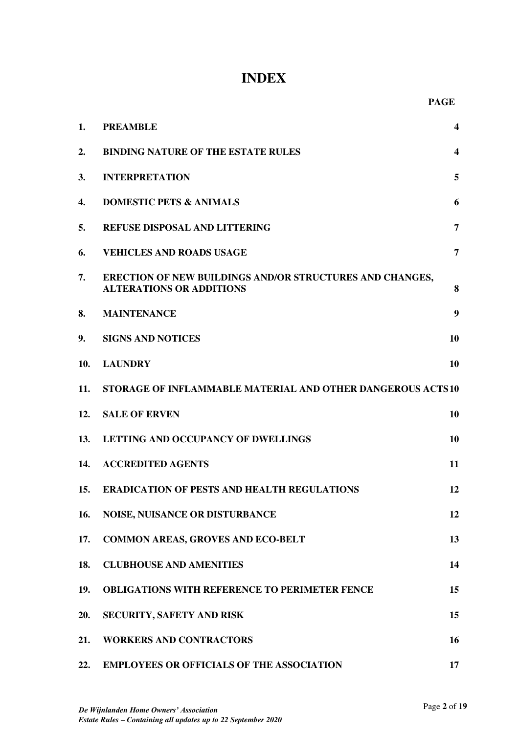# **INDEX**

| 1.  | <b>PREAMBLE</b>                                                                                    | 4                       |
|-----|----------------------------------------------------------------------------------------------------|-------------------------|
| 2.  | <b>BINDING NATURE OF THE ESTATE RULES</b>                                                          | $\overline{\mathbf{4}}$ |
| 3.  | <b>INTERPRETATION</b>                                                                              | 5                       |
| 4.  | <b>DOMESTIC PETS &amp; ANIMALS</b>                                                                 | 6                       |
| 5.  | <b>REFUSE DISPOSAL AND LITTERING</b>                                                               | 7                       |
| 6.  | <b>VEHICLES AND ROADS USAGE</b>                                                                    | $\overline{7}$          |
| 7.  | <b>ERECTION OF NEW BUILDINGS AND/OR STRUCTURES AND CHANGES,</b><br><b>ALTERATIONS OR ADDITIONS</b> | 8                       |
| 8.  | <b>MAINTENANCE</b>                                                                                 | 9                       |
| 9.  | <b>SIGNS AND NOTICES</b>                                                                           | 10                      |
| 10. | <b>LAUNDRY</b>                                                                                     | 10                      |
| 11. | STORAGE OF INFLAMMABLE MATERIAL AND OTHER DANGEROUS ACTS10                                         |                         |
| 12. | <b>SALE OF ERVEN</b>                                                                               | 10                      |
| 13. | LETTING AND OCCUPANCY OF DWELLINGS                                                                 | 10                      |
| 14. | <b>ACCREDITED AGENTS</b>                                                                           | 11                      |
| 15. | <b>ERADICATION OF PESTS AND HEALTH REGULATIONS</b>                                                 | 12                      |
| 16. | <b>NOISE, NUISANCE OR DISTURBANCE</b>                                                              | 12                      |
| 17. | <b>COMMON AREAS, GROVES AND ECO-BELT</b>                                                           | 13                      |
| 18. | <b>CLUBHOUSE AND AMENITIES</b>                                                                     | 14                      |
| 19. | <b>OBLIGATIONS WITH REFERENCE TO PERIMETER FENCE</b>                                               | 15                      |
| 20. | SECURITY, SAFETY AND RISK                                                                          | 15                      |
| 21. | <b>WORKERS AND CONTRACTORS</b>                                                                     | 16                      |
| 22. | <b>EMPLOYEES OR OFFICIALS OF THE ASSOCIATION</b>                                                   | 17                      |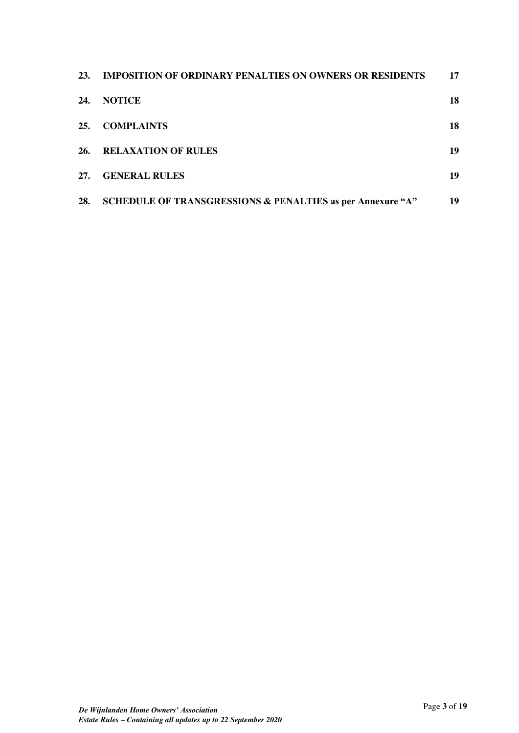| <b>23.</b> | <b>IMPOSITION OF ORDINARY PENALTIES ON OWNERS OR RESIDENTS</b> | 17 |
|------------|----------------------------------------------------------------|----|
| 24.        | <b>NOTICE</b>                                                  | 18 |
| 25.        | <b>COMPLAINTS</b>                                              | 18 |
| 26.        | <b>RELAXATION OF RULES</b>                                     | 19 |
| 27.        | <b>GENERAL RULES</b>                                           | 19 |
| 28.        | SCHEDULE OF TRANSGRESSIONS & PENALTIES as per Annexure "A"     | 19 |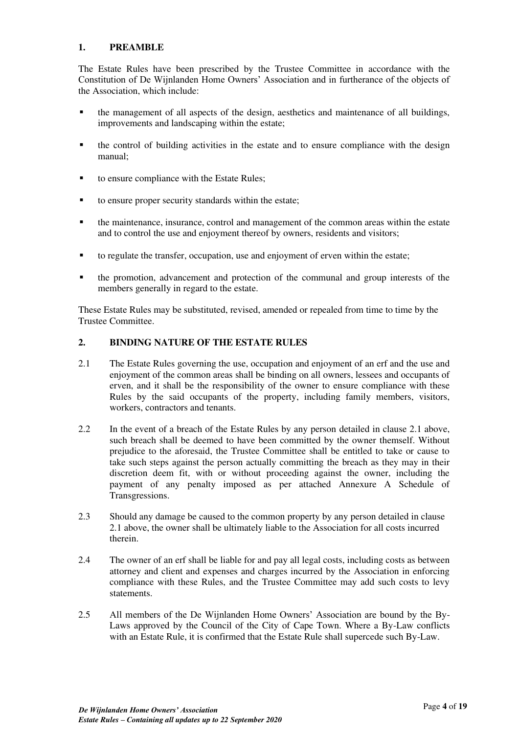# <span id="page-3-0"></span>**1. PREAMBLE**

The Estate Rules have been prescribed by the Trustee Committee in accordance with the Constitution of De Wijnlanden Home Owners' Association and in furtherance of the objects of the Association, which include:

- the management of all aspects of the design, aesthetics and maintenance of all buildings, improvements and landscaping within the estate;
- the control of building activities in the estate and to ensure compliance with the design manual;
- to ensure compliance with the Estate Rules;
- to ensure proper security standards within the estate;
- the maintenance, insurance, control and management of the common areas within the estate and to control the use and enjoyment thereof by owners, residents and visitors;
- to regulate the transfer, occupation, use and enjoyment of erven within the estate;
- **•** the promotion, advancement and protection of the communal and group interests of the members generally in regard to the estate.

These Estate Rules may be substituted, revised, amended or repealed from time to time by the Trustee Committee.

## <span id="page-3-1"></span>**2. BINDING NATURE OF THE ESTATE RULES**

- 2.1 The Estate Rules governing the use, occupation and enjoyment of an erf and the use and enjoyment of the common areas shall be binding on all owners, lessees and occupants of erven, and it shall be the responsibility of the owner to ensure compliance with these Rules by the said occupants of the property, including family members, visitors, workers, contractors and tenants.
- 2.2 In the event of a breach of the Estate Rules by any person detailed in clause 2.1 above, such breach shall be deemed to have been committed by the owner themself. Without prejudice to the aforesaid, the Trustee Committee shall be entitled to take or cause to take such steps against the person actually committing the breach as they may in their discretion deem fit, with or without proceeding against the owner, including the payment of any penalty imposed as per attached Annexure A Schedule of Transgressions.
- 2.3 Should any damage be caused to the common property by any person detailed in clause 2.1 above, the owner shall be ultimately liable to the Association for all costs incurred therein.
- 2.4 The owner of an erf shall be liable for and pay all legal costs, including costs as between attorney and client and expenses and charges incurred by the Association in enforcing compliance with these Rules, and the Trustee Committee may add such costs to levy statements.
- 2.5 All members of the De Wijnlanden Home Owners' Association are bound by the By-Laws approved by the Council of the City of Cape Town. Where a By-Law conflicts with an Estate Rule, it is confirmed that the Estate Rule shall supercede such By-Law.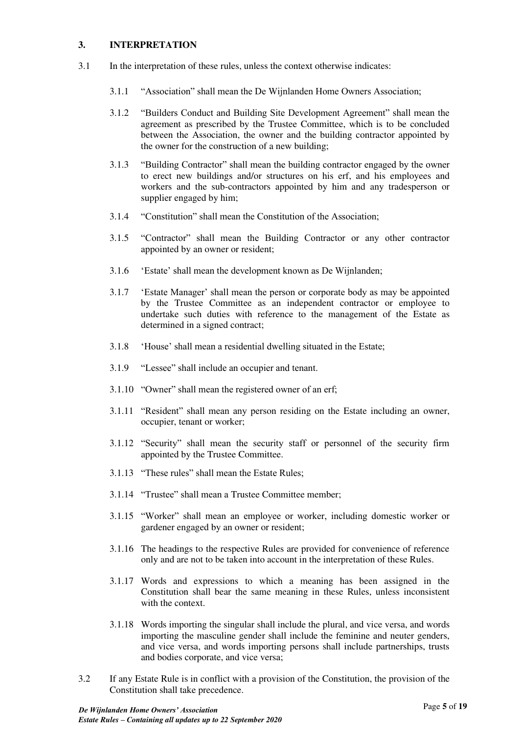# <span id="page-4-0"></span>**3. INTERPRETATION**

- 3.1 In the interpretation of these rules, unless the context otherwise indicates:
	- 3.1.1 "Association" shall mean the De Wijnlanden Home Owners Association;
	- 3.1.2 "Builders Conduct and Building Site Development Agreement" shall mean the agreement as prescribed by the Trustee Committee, which is to be concluded between the Association, the owner and the building contractor appointed by the owner for the construction of a new building;
	- 3.1.3 "Building Contractor" shall mean the building contractor engaged by the owner to erect new buildings and/or structures on his erf, and his employees and workers and the sub-contractors appointed by him and any tradesperson or supplier engaged by him;
	- 3.1.4 "Constitution" shall mean the Constitution of the Association;
	- 3.1.5 "Contractor" shall mean the Building Contractor or any other contractor appointed by an owner or resident;
	- 3.1.6 'Estate' shall mean the development known as De Wijnlanden;
	- 3.1.7 'Estate Manager' shall mean the person or corporate body as may be appointed by the Trustee Committee as an independent contractor or employee to undertake such duties with reference to the management of the Estate as determined in a signed contract;
	- 3.1.8 'House' shall mean a residential dwelling situated in the Estate;
	- 3.1.9 "Lessee" shall include an occupier and tenant.
	- 3.1.10 "Owner" shall mean the registered owner of an erf;
	- 3.1.11 "Resident" shall mean any person residing on the Estate including an owner, occupier, tenant or worker;
	- 3.1.12 "Security" shall mean the security staff or personnel of the security firm appointed by the Trustee Committee.
	- 3.1.13 "These rules" shall mean the Estate Rules;
	- 3.1.14 "Trustee" shall mean a Trustee Committee member;
	- 3.1.15 "Worker" shall mean an employee or worker, including domestic worker or gardener engaged by an owner or resident;
	- 3.1.16 The headings to the respective Rules are provided for convenience of reference only and are not to be taken into account in the interpretation of these Rules.
	- 3.1.17 Words and expressions to which a meaning has been assigned in the Constitution shall bear the same meaning in these Rules, unless inconsistent with the context.
	- 3.1.18 Words importing the singular shall include the plural, and vice versa, and words importing the masculine gender shall include the feminine and neuter genders, and vice versa, and words importing persons shall include partnerships, trusts and bodies corporate, and vice versa;
- 3.2 If any Estate Rule is in conflict with a provision of the Constitution, the provision of the Constitution shall take precedence.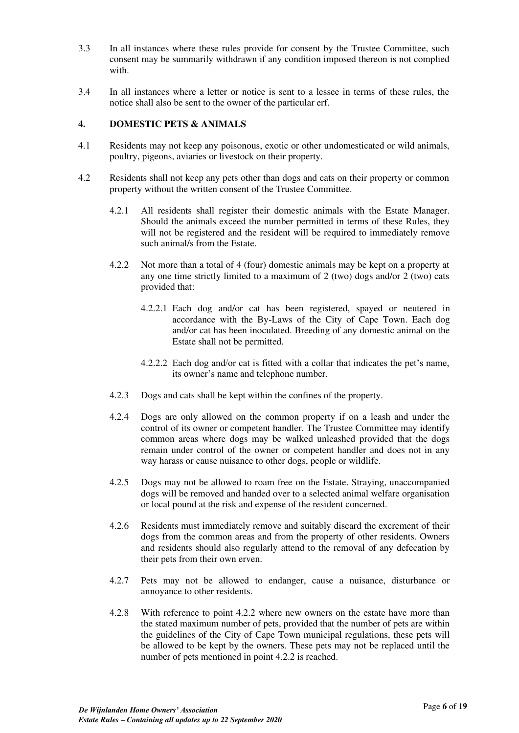- 3.3 In all instances where these rules provide for consent by the Trustee Committee, such consent may be summarily withdrawn if any condition imposed thereon is not complied with.
- 3.4 In all instances where a letter or notice is sent to a lessee in terms of these rules, the notice shall also be sent to the owner of the particular erf.

# <span id="page-5-0"></span>**4. DOMESTIC PETS & ANIMALS**

- 4.1 Residents may not keep any poisonous, exotic or other undomesticated or wild animals, poultry, pigeons, aviaries or livestock on their property.
- 4.2 Residents shall not keep any pets other than dogs and cats on their property or common property without the written consent of the Trustee Committee.
	- 4.2.1 All residents shall register their domestic animals with the Estate Manager. Should the animals exceed the number permitted in terms of these Rules, they will not be registered and the resident will be required to immediately remove such animal/s from the Estate.
	- 4.2.2 Not more than a total of 4 (four) domestic animals may be kept on a property at any one time strictly limited to a maximum of 2 (two) dogs and/or 2 (two) cats provided that:
		- 4.2.2.1 Each dog and/or cat has been registered, spayed or neutered in accordance with the By-Laws of the City of Cape Town. Each dog and/or cat has been inoculated. Breeding of any domestic animal on the Estate shall not be permitted.
		- 4.2.2.2 Each dog and/or cat is fitted with a collar that indicates the pet's name, its owner's name and telephone number.
	- 4.2.3 Dogs and cats shall be kept within the confines of the property.
	- 4.2.4 Dogs are only allowed on the common property if on a leash and under the control of its owner or competent handler. The Trustee Committee may identify common areas where dogs may be walked unleashed provided that the dogs remain under control of the owner or competent handler and does not in any way harass or cause nuisance to other dogs, people or wildlife.
	- 4.2.5 Dogs may not be allowed to roam free on the Estate. Straying, unaccompanied dogs will be removed and handed over to a selected animal welfare organisation or local pound at the risk and expense of the resident concerned.
	- 4.2.6 Residents must immediately remove and suitably discard the excrement of their dogs from the common areas and from the property of other residents. Owners and residents should also regularly attend to the removal of any defecation by their pets from their own erven.
	- 4.2.7 Pets may not be allowed to endanger, cause a nuisance, disturbance or annoyance to other residents.
	- 4.2.8 With reference to point 4.2.2 where new owners on the estate have more than the stated maximum number of pets, provided that the number of pets are within the guidelines of the City of Cape Town municipal regulations, these pets will be allowed to be kept by the owners. These pets may not be replaced until the number of pets mentioned in point 4.2.2 is reached.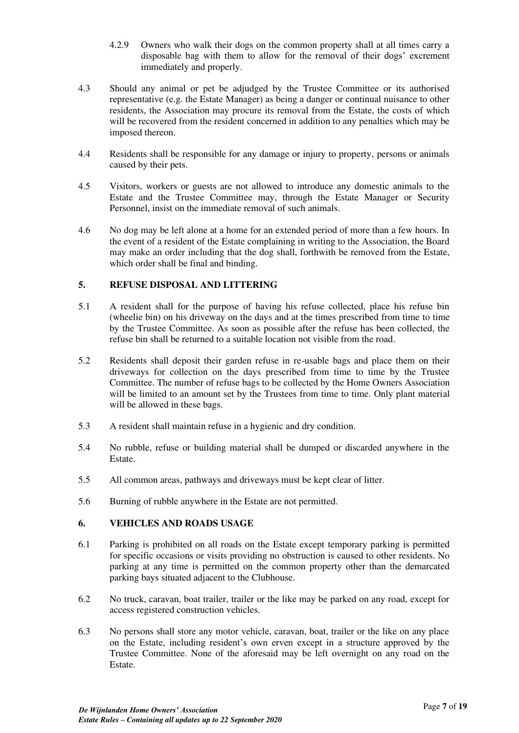- 4.2.9 Owners who walk their dogs on the common property shall at all times carry a disposable bag with them to allow for the removal of their dogs' excrement immediately and properly.
- 4.3 Should any animal or pet be adjudged by the Trustee Committee or its authorised representative (e.g. the Estate Manager) as being a danger or continual nuisance to other residents, the Association may procure its removal from the Estate, the costs of which will be recovered from the resident concerned in addition to any penalties which may be imposed thereon.
- 4.4 Residents shall be responsible for any damage or injury to property, persons or animals caused by their pets.
- 4.5 Visitors, workers or guests are not allowed to introduce any domestic animals to the Estate and the Trustee Committee may, through the Estate Manager or Security Personnel, insist on the immediate removal of such animals.
- 4.6 No dog may be left alone at a home for an extended period of more than a few hours. In the event of a resident of the Estate complaining in writing to the Association, the Board may make an order including that the dog shall, forthwith be removed from the Estate, which order shall be final and binding.

# <span id="page-6-0"></span>**5. REFUSE DISPOSAL AND LITTERING**

- 5.1 A resident shall for the purpose of having his refuse collected, place his refuse bin (wheelie bin) on his driveway on the days and at the times prescribed from time to time by the Trustee Committee. As soon as possible after the refuse has been collected, the refuse bin shall be returned to a suitable location not visible from the road.
- 5.2 Residents shall deposit their garden refuse in re-usable bags and place them on their driveways for collection on the days prescribed from time to time by the Trustee Committee. The number of refuse bags to be collected by the Home Owners Association will be limited to an amount set by the Trustees from time to time. Only plant material will be allowed in these bags.
- 5.3 A resident shall maintain refuse in a hygienic and dry condition.
- 5.4 No rubble, refuse or building material shall be dumped or discarded anywhere in the Estate.
- 5.5 All common areas, pathways and driveways must be kept clear of litter.
- 5.6 Burning of rubble anywhere in the Estate are not permitted.

# <span id="page-6-1"></span>**6. VEHICLES AND ROADS USAGE**

- 6.1 Parking is prohibited on all roads on the Estate except temporary parking is permitted for specific occasions or visits providing no obstruction is caused to other residents. No parking at any time is permitted on the common property other than the demarcated parking bays situated adjacent to the Clubhouse.
- 6.2 No truck, caravan, boat trailer, trailer or the like may be parked on any road, except for access registered construction vehicles.
- 6.3 No persons shall store any motor vehicle, caravan, boat, trailer or the like on any place on the Estate, including resident's own erven except in a structure approved by the Trustee Committee. None of the aforesaid may be left overnight on any road on the Estate.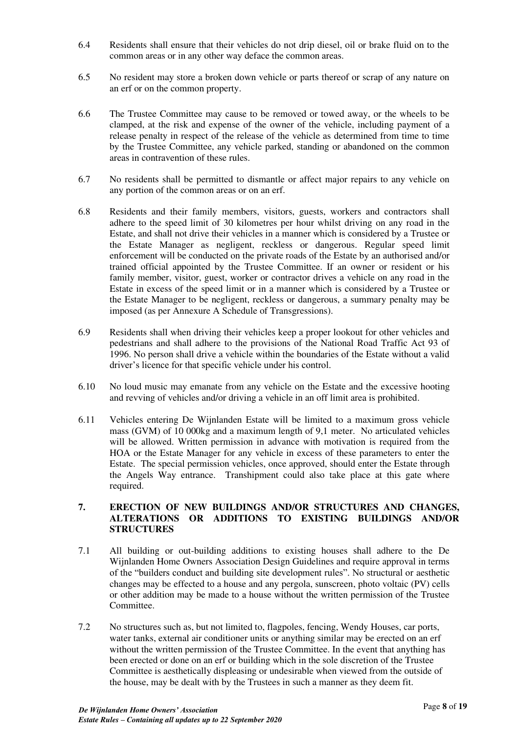- 6.4 Residents shall ensure that their vehicles do not drip diesel, oil or brake fluid on to the common areas or in any other way deface the common areas.
- 6.5 No resident may store a broken down vehicle or parts thereof or scrap of any nature on an erf or on the common property.
- 6.6 The Trustee Committee may cause to be removed or towed away, or the wheels to be clamped, at the risk and expense of the owner of the vehicle, including payment of a release penalty in respect of the release of the vehicle as determined from time to time by the Trustee Committee, any vehicle parked, standing or abandoned on the common areas in contravention of these rules.
- 6.7 No residents shall be permitted to dismantle or affect major repairs to any vehicle on any portion of the common areas or on an erf.
- 6.8 Residents and their family members, visitors, guests, workers and contractors shall adhere to the speed limit of 30 kilometres per hour whilst driving on any road in the Estate, and shall not drive their vehicles in a manner which is considered by a Trustee or the Estate Manager as negligent, reckless or dangerous. Regular speed limit enforcement will be conducted on the private roads of the Estate by an authorised and/or trained official appointed by the Trustee Committee. If an owner or resident or his family member, visitor, guest, worker or contractor drives a vehicle on any road in the Estate in excess of the speed limit or in a manner which is considered by a Trustee or the Estate Manager to be negligent, reckless or dangerous, a summary penalty may be imposed (as per Annexure A Schedule of Transgressions).
- 6.9 Residents shall when driving their vehicles keep a proper lookout for other vehicles and pedestrians and shall adhere to the provisions of the National Road Traffic Act 93 of 1996. No person shall drive a vehicle within the boundaries of the Estate without a valid driver's licence for that specific vehicle under his control.
- 6.10 No loud music may emanate from any vehicle on the Estate and the excessive hooting and revving of vehicles and/or driving a vehicle in an off limit area is prohibited.
- 6.11 Vehicles entering De Wijnlanden Estate will be limited to a maximum gross vehicle mass (GVM) of 10 000kg and a maximum length of 9,1 meter. No articulated vehicles will be allowed. Written permission in advance with motivation is required from the HOA or the Estate Manager for any vehicle in excess of these parameters to enter the Estate. The special permission vehicles, once approved, should enter the Estate through the Angels Way entrance. Transhipment could also take place at this gate where required.

# <span id="page-7-0"></span>**7. ERECTION OF NEW BUILDINGS AND/OR STRUCTURES AND CHANGES, ALTERATIONS OR ADDITIONS TO EXISTING BUILDINGS AND/OR STRUCTURES**

- 7.1 All building or out-building additions to existing houses shall adhere to the De Wijnlanden Home Owners Association Design Guidelines and require approval in terms of the "builders conduct and building site development rules". No structural or aesthetic changes may be effected to a house and any pergola, sunscreen, photo voltaic (PV) cells or other addition may be made to a house without the written permission of the Trustee Committee.
- 7.2 No structures such as, but not limited to, flagpoles, fencing, Wendy Houses, car ports, water tanks, external air conditioner units or anything similar may be erected on an erf without the written permission of the Trustee Committee. In the event that anything has been erected or done on an erf or building which in the sole discretion of the Trustee Committee is aesthetically displeasing or undesirable when viewed from the outside of the house, may be dealt with by the Trustees in such a manner as they deem fit.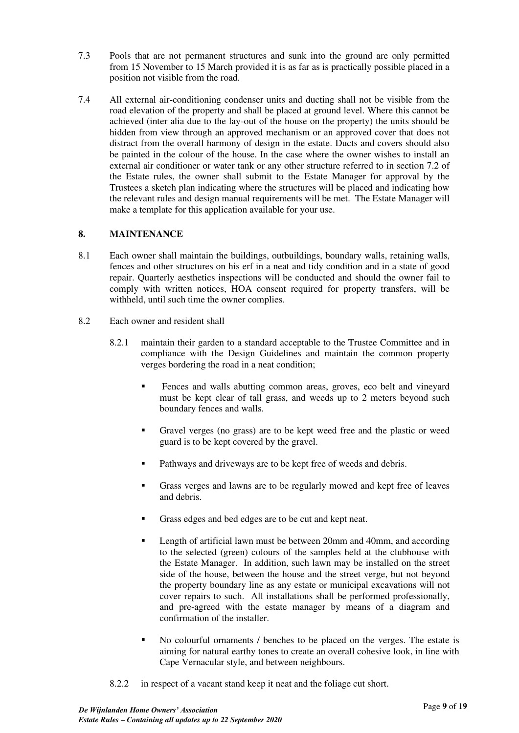- 7.3 Pools that are not permanent structures and sunk into the ground are only permitted from 15 November to 15 March provided it is as far as is practically possible placed in a position not visible from the road.
- 7.4 All external air-conditioning condenser units and ducting shall not be visible from the road elevation of the property and shall be placed at ground level. Where this cannot be achieved (inter alia due to the lay-out of the house on the property) the units should be hidden from view through an approved mechanism or an approved cover that does not distract from the overall harmony of design in the estate. Ducts and covers should also be painted in the colour of the house. In the case where the owner wishes to install an external air conditioner or water tank or any other structure referred to in section 7.2 of the Estate rules, the owner shall submit to the Estate Manager for approval by the Trustees a sketch plan indicating where the structures will be placed and indicating how the relevant rules and design manual requirements will be met. The Estate Manager will make a template for this application available for your use.

# <span id="page-8-0"></span>**8. MAINTENANCE**

- 8.1 Each owner shall maintain the buildings, outbuildings, boundary walls, retaining walls, fences and other structures on his erf in a neat and tidy condition and in a state of good repair. Quarterly aesthetics inspections will be conducted and should the owner fail to comply with written notices, HOA consent required for property transfers, will be withheld, until such time the owner complies.
- 8.2 Each owner and resident shall
	- 8.2.1 maintain their garden to a standard acceptable to the Trustee Committee and in compliance with the Design Guidelines and maintain the common property verges bordering the road in a neat condition;
		- **EXECUTE:** Fences and walls abutting common areas, groves, eco belt and vineyard must be kept clear of tall grass, and weeds up to 2 meters beyond such boundary fences and walls.
		- Gravel verges (no grass) are to be kept weed free and the plastic or weed guard is to be kept covered by the gravel.
		- Pathways and driveways are to be kept free of weeds and debris.
		- Grass verges and lawns are to be regularly mowed and kept free of leaves and debris.
		- Grass edges and bed edges are to be cut and kept neat.
		- Length of artificial lawn must be between 20mm and 40mm, and according to the selected (green) colours of the samples held at the clubhouse with the Estate Manager. In addition, such lawn may be installed on the street side of the house, between the house and the street verge, but not beyond the property boundary line as any estate or municipal excavations will not cover repairs to such. All installations shall be performed professionally, and pre-agreed with the estate manager by means of a diagram and confirmation of the installer.
		- No colourful ornaments / benches to be placed on the verges. The estate is aiming for natural earthy tones to create an overall cohesive look, in line with Cape Vernacular style, and between neighbours.
	- 8.2.2 in respect of a vacant stand keep it neat and the foliage cut short.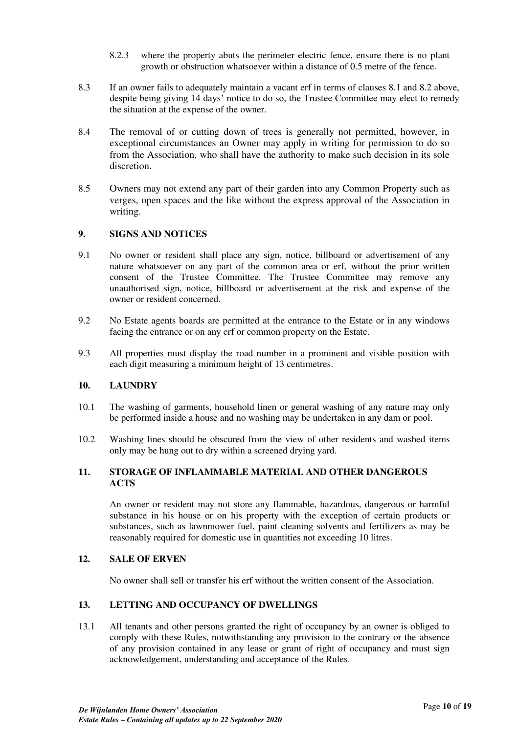- 8.2.3 where the property abuts the perimeter electric fence, ensure there is no plant growth or obstruction whatsoever within a distance of 0.5 metre of the fence.
- 8.3 If an owner fails to adequately maintain a vacant erf in terms of clauses 8.1 and 8.2 above, despite being giving 14 days' notice to do so, the Trustee Committee may elect to remedy the situation at the expense of the owner.
- 8.4 The removal of or cutting down of trees is generally not permitted, however, in exceptional circumstances an Owner may apply in writing for permission to do so from the Association, who shall have the authority to make such decision in its sole discretion.
- 8.5 Owners may not extend any part of their garden into any Common Property such as verges, open spaces and the like without the express approval of the Association in writing.

# <span id="page-9-0"></span>**9. SIGNS AND NOTICES**

- 9.1 No owner or resident shall place any sign, notice, billboard or advertisement of any nature whatsoever on any part of the common area or erf, without the prior written consent of the Trustee Committee. The Trustee Committee may remove any unauthorised sign, notice, billboard or advertisement at the risk and expense of the owner or resident concerned.
- 9.2 No Estate agents boards are permitted at the entrance to the Estate or in any windows facing the entrance or on any erf or common property on the Estate.
- 9.3 All properties must display the road number in a prominent and visible position with each digit measuring a minimum height of 13 centimetres.

## <span id="page-9-1"></span>**10. LAUNDRY**

- 10.1 The washing of garments, household linen or general washing of any nature may only be performed inside a house and no washing may be undertaken in any dam or pool.
- 10.2 Washing lines should be obscured from the view of other residents and washed items only may be hung out to dry within a screened drying yard.

# <span id="page-9-2"></span>**11. STORAGE OF INFLAMMABLE MATERIAL AND OTHER DANGEROUS ACTS**

An owner or resident may not store any flammable, hazardous, dangerous or harmful substance in his house or on his property with the exception of certain products or substances, such as lawnmower fuel, paint cleaning solvents and fertilizers as may be reasonably required for domestic use in quantities not exceeding 10 litres.

## <span id="page-9-3"></span>**12. SALE OF ERVEN**

No owner shall sell or transfer his erf without the written consent of the Association.

# <span id="page-9-4"></span>**13. LETTING AND OCCUPANCY OF DWELLINGS**

13.1 All tenants and other persons granted the right of occupancy by an owner is obliged to comply with these Rules, notwithstanding any provision to the contrary or the absence of any provision contained in any lease or grant of right of occupancy and must sign acknowledgement, understanding and acceptance of the Rules.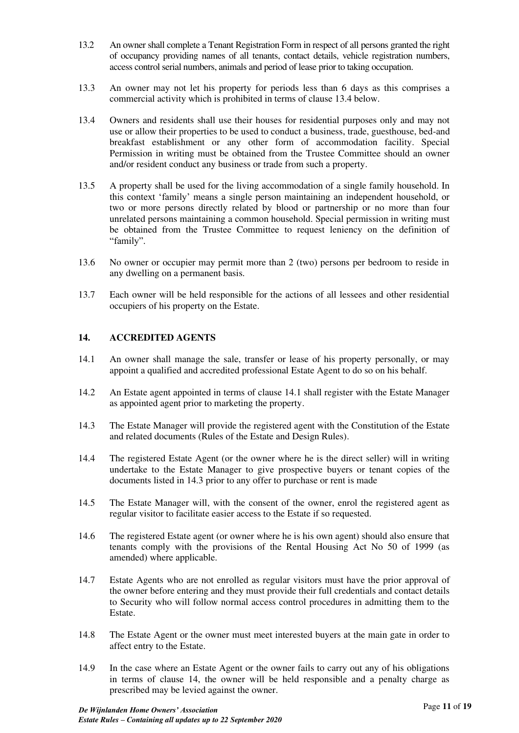- 13.2 An owner shall complete a Tenant Registration Form in respect of all persons granted the right of occupancy providing names of all tenants, contact details, vehicle registration numbers, access control serial numbers, animals and period of lease prior to taking occupation.
- 13.3 An owner may not let his property for periods less than 6 days as this comprises a commercial activity which is prohibited in terms of clause 13.4 below.
- 13.4 Owners and residents shall use their houses for residential purposes only and may not use or allow their properties to be used to conduct a business, trade, guesthouse, bed-and breakfast establishment or any other form of accommodation facility. Special Permission in writing must be obtained from the Trustee Committee should an owner and/or resident conduct any business or trade from such a property.
- 13.5 A property shall be used for the living accommodation of a single family household. In this context 'family' means a single person maintaining an independent household, or two or more persons directly related by blood or partnership or no more than four unrelated persons maintaining a common household. Special permission in writing must be obtained from the Trustee Committee to request leniency on the definition of "family".
- 13.6 No owner or occupier may permit more than 2 (two) persons per bedroom to reside in any dwelling on a permanent basis.
- 13.7 Each owner will be held responsible for the actions of all lessees and other residential occupiers of his property on the Estate.

# <span id="page-10-0"></span>**14. ACCREDITED AGENTS**

- 14.1 An owner shall manage the sale, transfer or lease of his property personally, or may appoint a qualified and accredited professional Estate Agent to do so on his behalf.
- 14.2 An Estate agent appointed in terms of clause 14.1 shall register with the Estate Manager as appointed agent prior to marketing the property.
- 14.3 The Estate Manager will provide the registered agent with the Constitution of the Estate and related documents (Rules of the Estate and Design Rules).
- 14.4 The registered Estate Agent (or the owner where he is the direct seller) will in writing undertake to the Estate Manager to give prospective buyers or tenant copies of the documents listed in 14.3 prior to any offer to purchase or rent is made
- 14.5 The Estate Manager will, with the consent of the owner, enrol the registered agent as regular visitor to facilitate easier access to the Estate if so requested.
- 14.6 The registered Estate agent (or owner where he is his own agent) should also ensure that tenants comply with the provisions of the Rental Housing Act No 50 of 1999 (as amended) where applicable.
- 14.7 Estate Agents who are not enrolled as regular visitors must have the prior approval of the owner before entering and they must provide their full credentials and contact details to Security who will follow normal access control procedures in admitting them to the Estate.
- 14.8 The Estate Agent or the owner must meet interested buyers at the main gate in order to affect entry to the Estate.
- 14.9 In the case where an Estate Agent or the owner fails to carry out any of his obligations in terms of clause 14, the owner will be held responsible and a penalty charge as prescribed may be levied against the owner.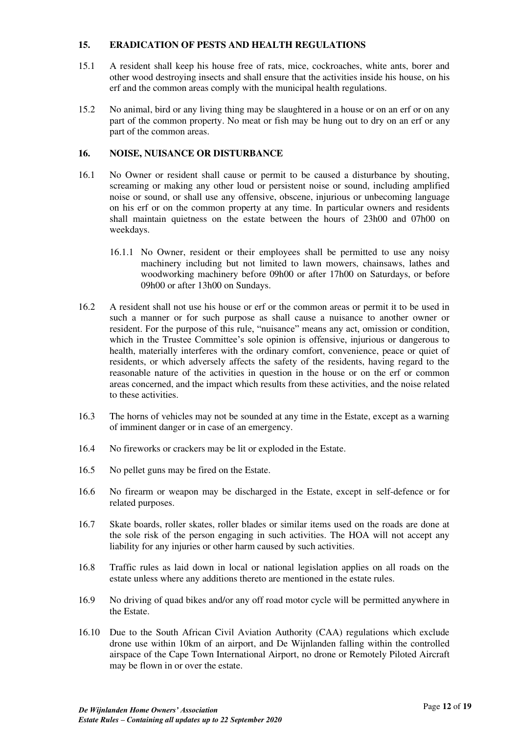# <span id="page-11-0"></span>**15. ERADICATION OF PESTS AND HEALTH REGULATIONS**

- 15.1 A resident shall keep his house free of rats, mice, cockroaches, white ants, borer and other wood destroying insects and shall ensure that the activities inside his house, on his erf and the common areas comply with the municipal health regulations.
- 15.2 No animal, bird or any living thing may be slaughtered in a house or on an erf or on any part of the common property. No meat or fish may be hung out to dry on an erf or any part of the common areas.

# <span id="page-11-1"></span>**16. NOISE, NUISANCE OR DISTURBANCE**

- 16.1 No Owner or resident shall cause or permit to be caused a disturbance by shouting, screaming or making any other loud or persistent noise or sound, including amplified noise or sound, or shall use any offensive, obscene, injurious or unbecoming language on his erf or on the common property at any time. In particular owners and residents shall maintain quietness on the estate between the hours of 23h00 and 07h00 on weekdays.
	- 16.1.1 No Owner, resident or their employees shall be permitted to use any noisy machinery including but not limited to lawn mowers, chainsaws, lathes and woodworking machinery before 09h00 or after 17h00 on Saturdays, or before 09h00 or after 13h00 on Sundays.
- 16.2 A resident shall not use his house or erf or the common areas or permit it to be used in such a manner or for such purpose as shall cause a nuisance to another owner or resident. For the purpose of this rule, "nuisance" means any act, omission or condition, which in the Trustee Committee's sole opinion is offensive, injurious or dangerous to health, materially interferes with the ordinary comfort, convenience, peace or quiet of residents, or which adversely affects the safety of the residents, having regard to the reasonable nature of the activities in question in the house or on the erf or common areas concerned, and the impact which results from these activities, and the noise related to these activities.
- 16.3 The horns of vehicles may not be sounded at any time in the Estate, except as a warning of imminent danger or in case of an emergency.
- 16.4 No fireworks or crackers may be lit or exploded in the Estate.
- 16.5 No pellet guns may be fired on the Estate.
- 16.6 No firearm or weapon may be discharged in the Estate, except in self-defence or for related purposes.
- 16.7 Skate boards, roller skates, roller blades or similar items used on the roads are done at the sole risk of the person engaging in such activities. The HOA will not accept any liability for any injuries or other harm caused by such activities.
- 16.8 Traffic rules as laid down in local or national legislation applies on all roads on the estate unless where any additions thereto are mentioned in the estate rules.
- 16.9 No driving of quad bikes and/or any off road motor cycle will be permitted anywhere in the Estate.
- 16.10 Due to the South African Civil Aviation Authority (CAA) regulations which exclude drone use within 10km of an airport, and De Wijnlanden falling within the controlled airspace of the Cape Town International Airport, no drone or Remotely Piloted Aircraft may be flown in or over the estate.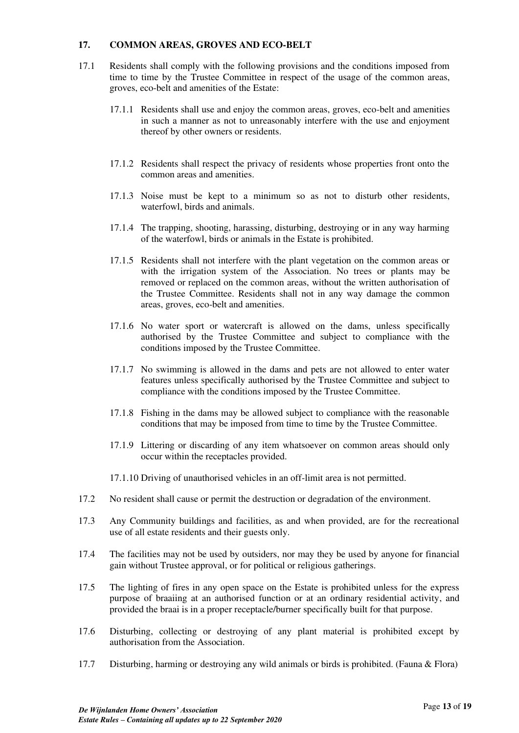# <span id="page-12-0"></span>**17. COMMON AREAS, GROVES AND ECO-BELT**

- 17.1 Residents shall comply with the following provisions and the conditions imposed from time to time by the Trustee Committee in respect of the usage of the common areas, groves, eco-belt and amenities of the Estate:
	- 17.1.1 Residents shall use and enjoy the common areas, groves, eco-belt and amenities in such a manner as not to unreasonably interfere with the use and enjoyment thereof by other owners or residents.
	- 17.1.2 Residents shall respect the privacy of residents whose properties front onto the common areas and amenities.
	- 17.1.3 Noise must be kept to a minimum so as not to disturb other residents, waterfowl, birds and animals.
	- 17.1.4 The trapping, shooting, harassing, disturbing, destroying or in any way harming of the waterfowl, birds or animals in the Estate is prohibited.
	- 17.1.5 Residents shall not interfere with the plant vegetation on the common areas or with the irrigation system of the Association. No trees or plants may be removed or replaced on the common areas, without the written authorisation of the Trustee Committee. Residents shall not in any way damage the common areas, groves, eco-belt and amenities.
	- 17.1.6 No water sport or watercraft is allowed on the dams, unless specifically authorised by the Trustee Committee and subject to compliance with the conditions imposed by the Trustee Committee.
	- 17.1.7 No swimming is allowed in the dams and pets are not allowed to enter water features unless specifically authorised by the Trustee Committee and subject to compliance with the conditions imposed by the Trustee Committee.
	- 17.1.8 Fishing in the dams may be allowed subject to compliance with the reasonable conditions that may be imposed from time to time by the Trustee Committee.
	- 17.1.9 Littering or discarding of any item whatsoever on common areas should only occur within the receptacles provided.
	- 17.1.10 Driving of unauthorised vehicles in an off-limit area is not permitted.
- 17.2 No resident shall cause or permit the destruction or degradation of the environment.
- 17.3 Any Community buildings and facilities, as and when provided, are for the recreational use of all estate residents and their guests only.
- 17.4 The facilities may not be used by outsiders, nor may they be used by anyone for financial gain without Trustee approval, or for political or religious gatherings.
- 17.5 The lighting of fires in any open space on the Estate is prohibited unless for the express purpose of braaiing at an authorised function or at an ordinary residential activity, and provided the braai is in a proper receptacle/burner specifically built for that purpose.
- 17.6 Disturbing, collecting or destroying of any plant material is prohibited except by authorisation from the Association.
- 17.7 Disturbing, harming or destroying any wild animals or birds is prohibited. (Fauna & Flora)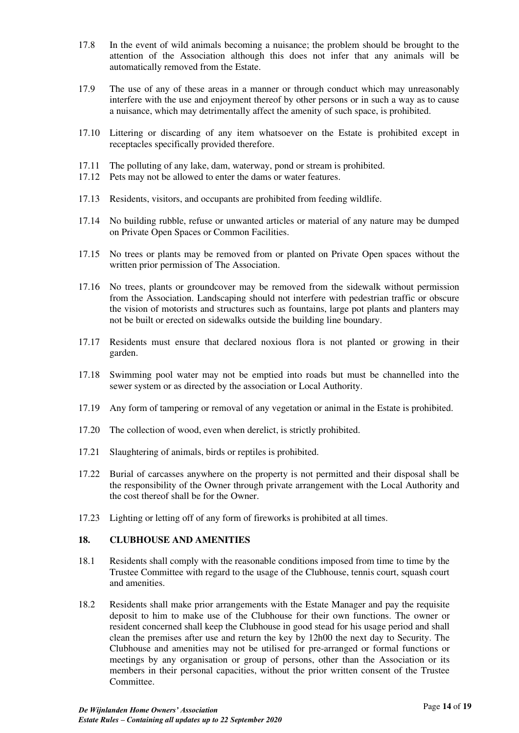- 17.8 In the event of wild animals becoming a nuisance; the problem should be brought to the attention of the Association although this does not infer that any animals will be automatically removed from the Estate.
- 17.9 The use of any of these areas in a manner or through conduct which may unreasonably interfere with the use and enjoyment thereof by other persons or in such a way as to cause a nuisance, which may detrimentally affect the amenity of such space, is prohibited.
- 17.10 Littering or discarding of any item whatsoever on the Estate is prohibited except in receptacles specifically provided therefore.
- 17.11 The polluting of any lake, dam, waterway, pond or stream is prohibited.
- 17.12 Pets may not be allowed to enter the dams or water features.
- 17.13 Residents, visitors, and occupants are prohibited from feeding wildlife.
- 17.14 No building rubble, refuse or unwanted articles or material of any nature may be dumped on Private Open Spaces or Common Facilities.
- 17.15 No trees or plants may be removed from or planted on Private Open spaces without the written prior permission of The Association.
- 17.16 No trees, plants or groundcover may be removed from the sidewalk without permission from the Association. Landscaping should not interfere with pedestrian traffic or obscure the vision of motorists and structures such as fountains, large pot plants and planters may not be built or erected on sidewalks outside the building line boundary.
- 17.17 Residents must ensure that declared noxious flora is not planted or growing in their garden.
- 17.18 Swimming pool water may not be emptied into roads but must be channelled into the sewer system or as directed by the association or Local Authority.
- 17.19 Any form of tampering or removal of any vegetation or animal in the Estate is prohibited.
- 17.20 The collection of wood, even when derelict, is strictly prohibited.
- 17.21 Slaughtering of animals, birds or reptiles is prohibited.
- 17.22 Burial of carcasses anywhere on the property is not permitted and their disposal shall be the responsibility of the Owner through private arrangement with the Local Authority and the cost thereof shall be for the Owner.
- 17.23 Lighting or letting off of any form of fireworks is prohibited at all times.

#### <span id="page-13-0"></span>**18. CLUBHOUSE AND AMENITIES**

- 18.1 Residents shall comply with the reasonable conditions imposed from time to time by the Trustee Committee with regard to the usage of the Clubhouse, tennis court, squash court and amenities.
- 18.2 Residents shall make prior arrangements with the Estate Manager and pay the requisite deposit to him to make use of the Clubhouse for their own functions. The owner or resident concerned shall keep the Clubhouse in good stead for his usage period and shall clean the premises after use and return the key by 12h00 the next day to Security. The Clubhouse and amenities may not be utilised for pre-arranged or formal functions or meetings by any organisation or group of persons, other than the Association or its members in their personal capacities, without the prior written consent of the Trustee Committee.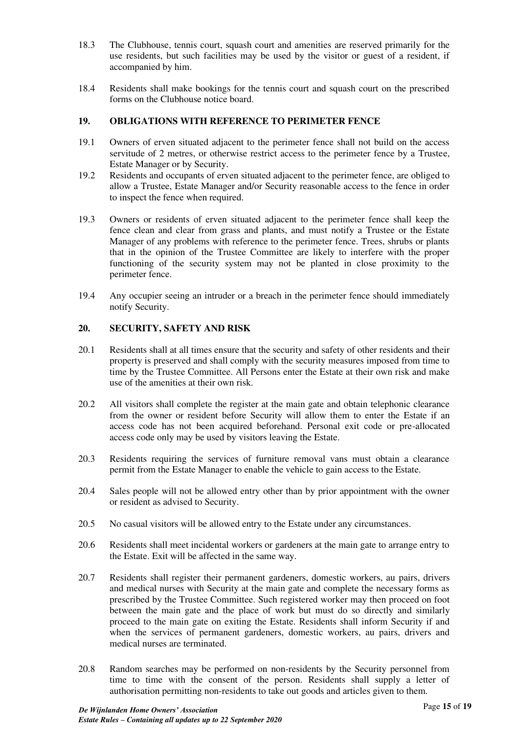- 18.3 The Clubhouse, tennis court, squash court and amenities are reserved primarily for the use residents, but such facilities may be used by the visitor or guest of a resident, if accompanied by him.
- 18.4 Residents shall make bookings for the tennis court and squash court on the prescribed forms on the Clubhouse notice board.

# <span id="page-14-0"></span>**19. OBLIGATIONS WITH REFERENCE TO PERIMETER FENCE**

- 19.1 Owners of erven situated adjacent to the perimeter fence shall not build on the access servitude of 2 metres, or otherwise restrict access to the perimeter fence by a Trustee, Estate Manager or by Security.
- 19.2 Residents and occupants of erven situated adjacent to the perimeter fence, are obliged to allow a Trustee, Estate Manager and/or Security reasonable access to the fence in order to inspect the fence when required.
- 19.3 Owners or residents of erven situated adjacent to the perimeter fence shall keep the fence clean and clear from grass and plants, and must notify a Trustee or the Estate Manager of any problems with reference to the perimeter fence. Trees, shrubs or plants that in the opinion of the Trustee Committee are likely to interfere with the proper functioning of the security system may not be planted in close proximity to the perimeter fence.
- 19.4 Any occupier seeing an intruder or a breach in the perimeter fence should immediately notify Security.

# <span id="page-14-1"></span>**20. SECURITY, SAFETY AND RISK**

- 20.1 Residents shall at all times ensure that the security and safety of other residents and their property is preserved and shall comply with the security measures imposed from time to time by the Trustee Committee. All Persons enter the Estate at their own risk and make use of the amenities at their own risk.
- 20.2 All visitors shall complete the register at the main gate and obtain telephonic clearance from the owner or resident before Security will allow them to enter the Estate if an access code has not been acquired beforehand. Personal exit code or pre-allocated access code only may be used by visitors leaving the Estate.
- 20.3 Residents requiring the services of furniture removal vans must obtain a clearance permit from the Estate Manager to enable the vehicle to gain access to the Estate.
- 20.4 Sales people will not be allowed entry other than by prior appointment with the owner or resident as advised to Security.
- 20.5 No casual visitors will be allowed entry to the Estate under any circumstances.
- 20.6 Residents shall meet incidental workers or gardeners at the main gate to arrange entry to the Estate. Exit will be affected in the same way.
- 20.7 Residents shall register their permanent gardeners, domestic workers, au pairs, drivers and medical nurses with Security at the main gate and complete the necessary forms as prescribed by the Trustee Committee. Such registered worker may then proceed on foot between the main gate and the place of work but must do so directly and similarly proceed to the main gate on exiting the Estate. Residents shall inform Security if and when the services of permanent gardeners, domestic workers, au pairs, drivers and medical nurses are terminated.
- 20.8 Random searches may be performed on non-residents by the Security personnel from time to time with the consent of the person. Residents shall supply a letter of authorisation permitting non-residents to take out goods and articles given to them.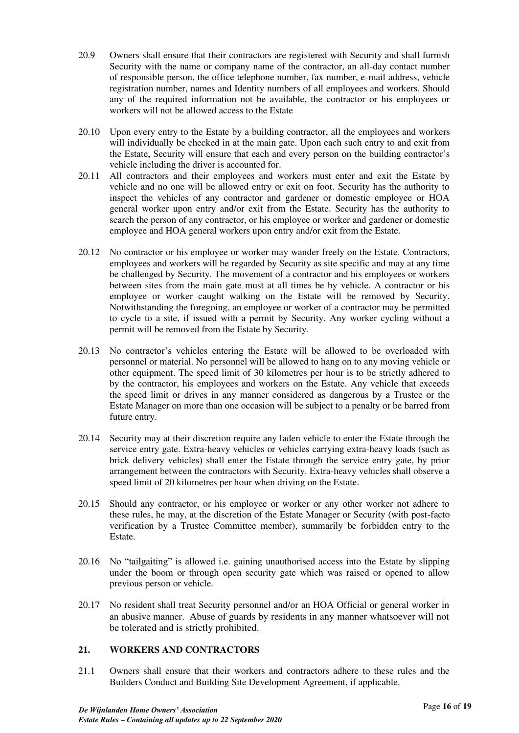- 20.9 Owners shall ensure that their contractors are registered with Security and shall furnish Security with the name or company name of the contractor, an all-day contact number of responsible person, the office telephone number, fax number, e-mail address, vehicle registration number, names and Identity numbers of all employees and workers. Should any of the required information not be available, the contractor or his employees or workers will not be allowed access to the Estate
- 20.10 Upon every entry to the Estate by a building contractor, all the employees and workers will individually be checked in at the main gate. Upon each such entry to and exit from the Estate, Security will ensure that each and every person on the building contractor's vehicle including the driver is accounted for.
- 20.11 All contractors and their employees and workers must enter and exit the Estate by vehicle and no one will be allowed entry or exit on foot. Security has the authority to inspect the vehicles of any contractor and gardener or domestic employee or HOA general worker upon entry and/or exit from the Estate. Security has the authority to search the person of any contractor, or his employee or worker and gardener or domestic employee and HOA general workers upon entry and/or exit from the Estate.
- 20.12 No contractor or his employee or worker may wander freely on the Estate. Contractors, employees and workers will be regarded by Security as site specific and may at any time be challenged by Security. The movement of a contractor and his employees or workers between sites from the main gate must at all times be by vehicle. A contractor or his employee or worker caught walking on the Estate will be removed by Security. Notwithstanding the foregoing, an employee or worker of a contractor may be permitted to cycle to a site, if issued with a permit by Security. Any worker cycling without a permit will be removed from the Estate by Security.
- 20.13 No contractor's vehicles entering the Estate will be allowed to be overloaded with personnel or material. No personnel will be allowed to hang on to any moving vehicle or other equipment. The speed limit of 30 kilometres per hour is to be strictly adhered to by the contractor, his employees and workers on the Estate. Any vehicle that exceeds the speed limit or drives in any manner considered as dangerous by a Trustee or the Estate Manager on more than one occasion will be subject to a penalty or be barred from future entry.
- 20.14 Security may at their discretion require any laden vehicle to enter the Estate through the service entry gate. Extra-heavy vehicles or vehicles carrying extra-heavy loads (such as brick delivery vehicles) shall enter the Estate through the service entry gate, by prior arrangement between the contractors with Security. Extra-heavy vehicles shall observe a speed limit of 20 kilometres per hour when driving on the Estate.
- 20.15 Should any contractor, or his employee or worker or any other worker not adhere to these rules, he may, at the discretion of the Estate Manager or Security (with post-facto verification by a Trustee Committee member), summarily be forbidden entry to the Estate.
- 20.16 No "tailgaiting" is allowed i.e. gaining unauthorised access into the Estate by slipping under the boom or through open security gate which was raised or opened to allow previous person or vehicle.
- 20.17 No resident shall treat Security personnel and/or an HOA Official or general worker in an abusive manner. Abuse of guards by residents in any manner whatsoever will not be tolerated and is strictly prohibited.

# <span id="page-15-0"></span>**21. WORKERS AND CONTRACTORS**

21.1 Owners shall ensure that their workers and contractors adhere to these rules and the Builders Conduct and Building Site Development Agreement, if applicable.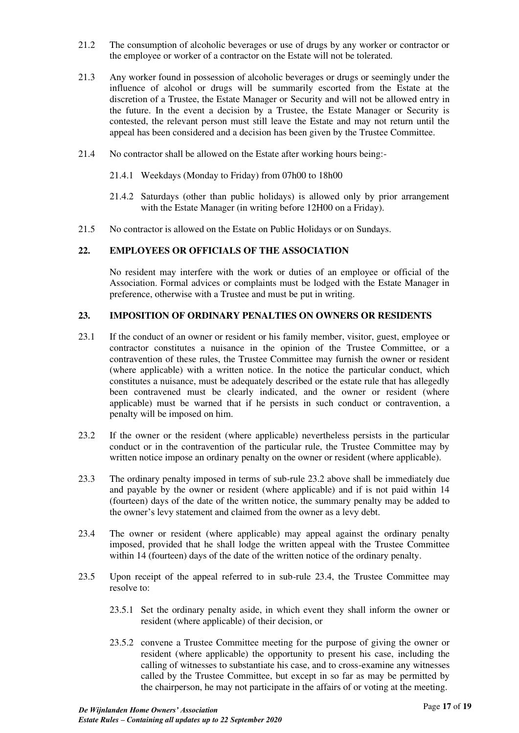- 21.2 The consumption of alcoholic beverages or use of drugs by any worker or contractor or the employee or worker of a contractor on the Estate will not be tolerated.
- 21.3 Any worker found in possession of alcoholic beverages or drugs or seemingly under the influence of alcohol or drugs will be summarily escorted from the Estate at the discretion of a Trustee, the Estate Manager or Security and will not be allowed entry in the future. In the event a decision by a Trustee, the Estate Manager or Security is contested, the relevant person must still leave the Estate and may not return until the appeal has been considered and a decision has been given by the Trustee Committee.
- 21.4 No contractor shall be allowed on the Estate after working hours being:-
	- 21.4.1 Weekdays (Monday to Friday) from 07h00 to 18h00
	- 21.4.2 Saturdays (other than public holidays) is allowed only by prior arrangement with the Estate Manager (in writing before 12H00 on a Friday).
- 21.5 No contractor is allowed on the Estate on Public Holidays or on Sundays.

# <span id="page-16-0"></span>**22. EMPLOYEES OR OFFICIALS OF THE ASSOCIATION**

No resident may interfere with the work or duties of an employee or official of the Association. Formal advices or complaints must be lodged with the Estate Manager in preference, otherwise with a Trustee and must be put in writing.

# <span id="page-16-1"></span>**23. IMPOSITION OF ORDINARY PENALTIES ON OWNERS OR RESIDENTS**

- 23.1 If the conduct of an owner or resident or his family member, visitor, guest, employee or contractor constitutes a nuisance in the opinion of the Trustee Committee, or a contravention of these rules, the Trustee Committee may furnish the owner or resident (where applicable) with a written notice. In the notice the particular conduct, which constitutes a nuisance, must be adequately described or the estate rule that has allegedly been contravened must be clearly indicated, and the owner or resident (where applicable) must be warned that if he persists in such conduct or contravention, a penalty will be imposed on him.
- 23.2 If the owner or the resident (where applicable) nevertheless persists in the particular conduct or in the contravention of the particular rule, the Trustee Committee may by written notice impose an ordinary penalty on the owner or resident (where applicable).
- 23.3 The ordinary penalty imposed in terms of sub-rule 23.2 above shall be immediately due and payable by the owner or resident (where applicable) and if is not paid within 14 (fourteen) days of the date of the written notice, the summary penalty may be added to the owner's levy statement and claimed from the owner as a levy debt.
- 23.4 The owner or resident (where applicable) may appeal against the ordinary penalty imposed, provided that he shall lodge the written appeal with the Trustee Committee within 14 (fourteen) days of the date of the written notice of the ordinary penalty.
- 23.5 Upon receipt of the appeal referred to in sub-rule 23.4, the Trustee Committee may resolve to:
	- 23.5.1 Set the ordinary penalty aside, in which event they shall inform the owner or resident (where applicable) of their decision, or
	- 23.5.2 convene a Trustee Committee meeting for the purpose of giving the owner or resident (where applicable) the opportunity to present his case, including the calling of witnesses to substantiate his case, and to cross-examine any witnesses called by the Trustee Committee, but except in so far as may be permitted by the chairperson, he may not participate in the affairs of or voting at the meeting.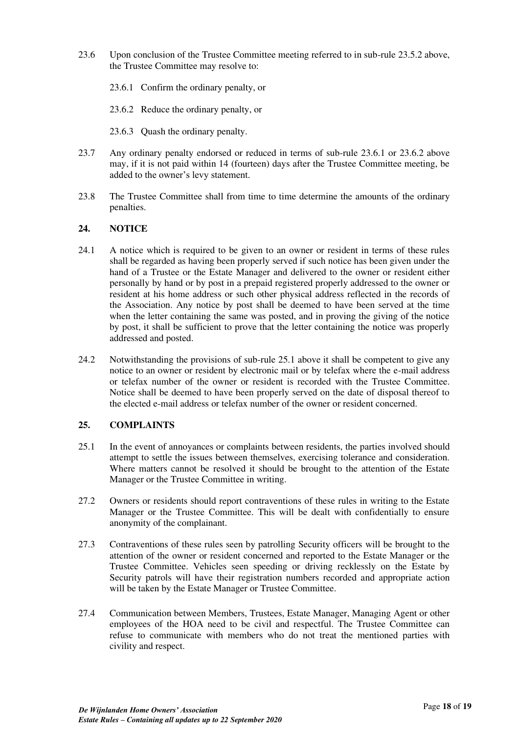- 23.6 Upon conclusion of the Trustee Committee meeting referred to in sub-rule 23.5.2 above, the Trustee Committee may resolve to:
	- 23.6.1 Confirm the ordinary penalty, or
	- 23.6.2 Reduce the ordinary penalty, or
	- 23.6.3 Quash the ordinary penalty.
- 23.7 Any ordinary penalty endorsed or reduced in terms of sub-rule 23.6.1 or 23.6.2 above may, if it is not paid within 14 (fourteen) days after the Trustee Committee meeting, be added to the owner's levy statement.
- 23.8 The Trustee Committee shall from time to time determine the amounts of the ordinary penalties.

# <span id="page-17-0"></span>**24. NOTICE**

- 24.1 A notice which is required to be given to an owner or resident in terms of these rules shall be regarded as having been properly served if such notice has been given under the hand of a Trustee or the Estate Manager and delivered to the owner or resident either personally by hand or by post in a prepaid registered properly addressed to the owner or resident at his home address or such other physical address reflected in the records of the Association. Any notice by post shall be deemed to have been served at the time when the letter containing the same was posted, and in proving the giving of the notice by post, it shall be sufficient to prove that the letter containing the notice was properly addressed and posted.
- 24.2 Notwithstanding the provisions of sub-rule 25.1 above it shall be competent to give any notice to an owner or resident by electronic mail or by telefax where the e-mail address or telefax number of the owner or resident is recorded with the Trustee Committee. Notice shall be deemed to have been properly served on the date of disposal thereof to the elected e-mail address or telefax number of the owner or resident concerned.

# <span id="page-17-1"></span>**25. COMPLAINTS**

- 25.1 In the event of annoyances or complaints between residents, the parties involved should attempt to settle the issues between themselves, exercising tolerance and consideration. Where matters cannot be resolved it should be brought to the attention of the Estate Manager or the Trustee Committee in writing.
- 27.2 Owners or residents should report contraventions of these rules in writing to the Estate Manager or the Trustee Committee. This will be dealt with confidentially to ensure anonymity of the complainant.
- 27.3 Contraventions of these rules seen by patrolling Security officers will be brought to the attention of the owner or resident concerned and reported to the Estate Manager or the Trustee Committee. Vehicles seen speeding or driving recklessly on the Estate by Security patrols will have their registration numbers recorded and appropriate action will be taken by the Estate Manager or Trustee Committee.
- 27.4 Communication between Members, Trustees, Estate Manager, Managing Agent or other employees of the HOA need to be civil and respectful. The Trustee Committee can refuse to communicate with members who do not treat the mentioned parties with civility and respect.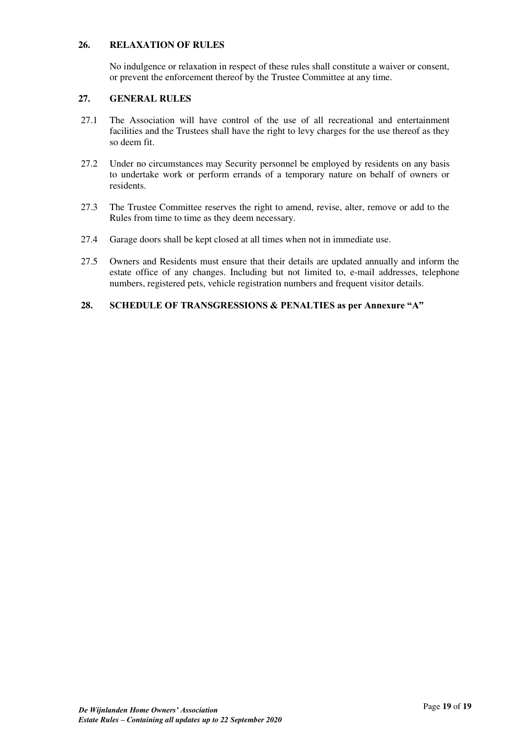# <span id="page-18-0"></span>**26. RELAXATION OF RULES**

No indulgence or relaxation in respect of these rules shall constitute a waiver or consent, or prevent the enforcement thereof by the Trustee Committee at any time.

# <span id="page-18-1"></span>**27. GENERAL RULES**

- 27.1 The Association will have control of the use of all recreational and entertainment facilities and the Trustees shall have the right to levy charges for the use thereof as they so deem fit.
- 27.2 Under no circumstances may Security personnel be employed by residents on any basis to undertake work or perform errands of a temporary nature on behalf of owners or residents.
- 27.3 The Trustee Committee reserves the right to amend, revise, alter, remove or add to the Rules from time to time as they deem necessary.
- 27.4 Garage doors shall be kept closed at all times when not in immediate use.
- 27.5 Owners and Residents must ensure that their details are updated annually and inform the estate office of any changes. Including but not limited to, e-mail addresses, telephone numbers, registered pets, vehicle registration numbers and frequent visitor details.

## <span id="page-18-2"></span>**28. SCHEDULE OF TRANSGRESSIONS & PENALTIES as per Annexure "A"**